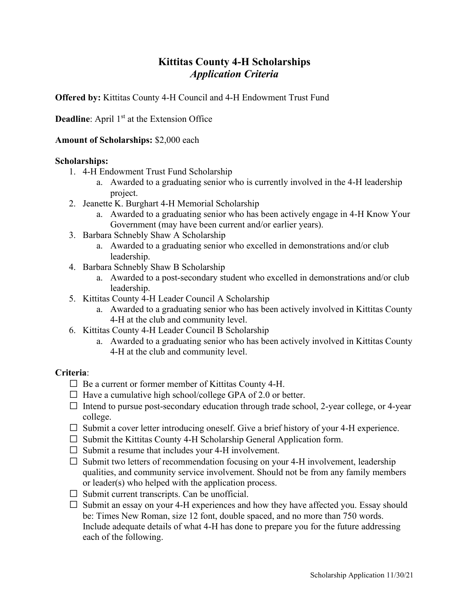## **Kittitas County 4-H Scholarships** *Application Criteria*

**Offered by:** Kittitas County 4-H Council and 4-H Endowment Trust Fund

**Deadline**: April 1<sup>st</sup> at the Extension Office

## **Amount of Scholarships:** \$2,000 each

### **Scholarships:**

- 1. 4-H Endowment Trust Fund Scholarship
	- a. Awarded to a graduating senior who is currently involved in the 4-H leadership project.
- 2. Jeanette K. Burghart 4-H Memorial Scholarship
	- a. Awarded to a graduating senior who has been actively engage in 4-H Know Your Government (may have been current and/or earlier years).
- 3. Barbara Schnebly Shaw A Scholarship
	- a. Awarded to a graduating senior who excelled in demonstrations and/or club leadership.
- 4. Barbara Schnebly Shaw B Scholarship
	- a. Awarded to a post-secondary student who excelled in demonstrations and/or club leadership.
- 5. Kittitas County 4-H Leader Council A Scholarship
	- a. Awarded to a graduating senior who has been actively involved in Kittitas County 4-H at the club and community level.
- 6. Kittitas County 4-H Leader Council B Scholarship
	- a. Awarded to a graduating senior who has been actively involved in Kittitas County 4-H at the club and community level.

## **Criteria**:

- Be a current or former member of Kittitas County 4-H.
- Have a cumulative high school/college GPA of 2.0 or better.
- Intend to pursue post-secondary education through trade school, 2-year college, or 4-year college.
- Submit a cover letter introducing oneself. Give a brief history of your 4-H experience.
- Submit the Kittitas County 4-H Scholarship General Application form.
- Submit a resume that includes your 4-H involvement.
- Submit two letters of recommendation focusing on your 4-H involvement, leadership qualities, and community service involvement. Should not be from any family members or leader(s) who helped with the application process.
- Submit current transcripts. Can be unofficial.
- Submit an essay on your 4-H experiences and how they have affected you. Essay should be: Times New Roman, size 12 font, double spaced, and no more than 750 words. Include adequate details of what 4-H has done to prepare you for the future addressing each of the following.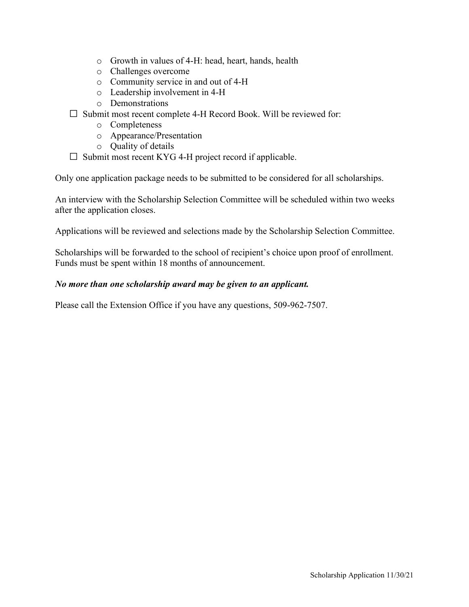- o Growth in values of 4-H: head, heart, hands, health
- o Challenges overcome
- o Community service in and out of 4-H
- o Leadership involvement in 4-H
- o Demonstrations
- Submit most recent complete 4-H Record Book. Will be reviewed for:
	- o Completeness
	- o Appearance/Presentation
	- o Quality of details
- Submit most recent KYG 4-H project record if applicable.

Only one application package needs to be submitted to be considered for all scholarships.

An interview with the Scholarship Selection Committee will be scheduled within two weeks after the application closes.

Applications will be reviewed and selections made by the Scholarship Selection Committee.

Scholarships will be forwarded to the school of recipient's choice upon proof of enrollment. Funds must be spent within 18 months of announcement.

### *No more than one scholarship award may be given to an applicant.*

Please call the Extension Office if you have any questions, 509-962-7507.